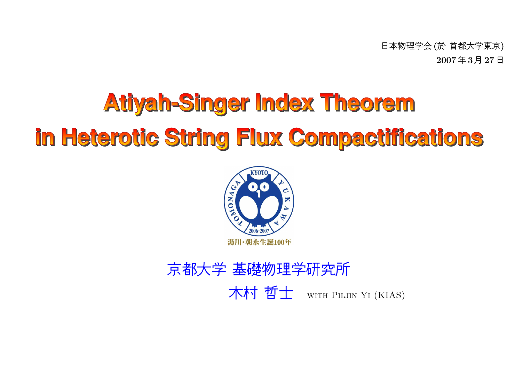日本物理学会 (於 首都大学東京)<br>一 一 一 2007年3月 <sup>27</sup> 日

# **Atiyah-Singer Index Theorem** in Heterotic String Flux Compactifications



# 京都大学 基礎物理学研究所 WITH PILJIN YI (KIAS)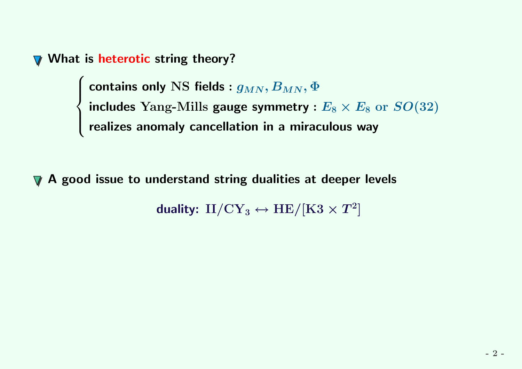What is heterotic string theory?

contains only NS fields :  $g_{MN}, B_{MN}, \Phi$ <br>includes Yang-Mills gauge symmetry :  $E_8 \times E_8$  or  $SO(32)$ <br>realizes anomaly cancellation in a miraculous way

▼ A good issue to understand string dualities at deeper levels

duality:  ${\rm II/CY_3} \leftrightarrow {\rm HE/[K3 \times T^2]}$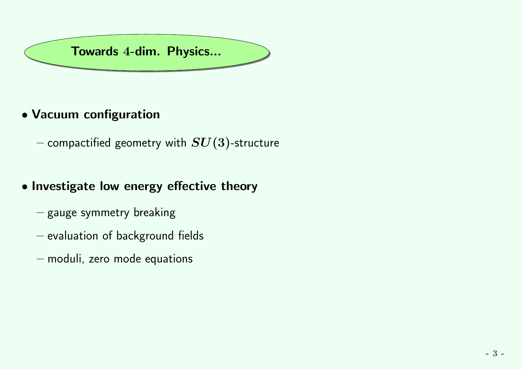

## • Vacuum configuration

 $-$  compactified geometry with  $\bm{SU}(3)$ -structure

## • Investigate low energy effective theory

- $-$  gauge symmetry breaking
- $-$  evaluation of background fields
- $-$  moduli, zero mode equations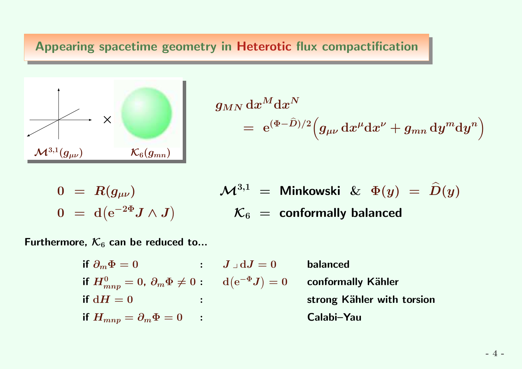Appearing spacetime geometry in Heterotic flux compactification



$$
\begin{array}{lcl} g_{MN} \, \mathrm{d} x^M \mathrm{d} x^N \\ \phantom{\displaystyle \frac{1}{2} } & = & \mathrm{e}^{(\Phi-\widehat{D})/2} \Big( g_{\mu\nu} \, \mathrm{d} x^\mu \mathrm{d} x^\nu + g_{mn} \, \mathrm{d} y^m \mathrm{d} y^n \Big) \end{array}
$$

$$
\begin{array}{lcl} 0 & = & R(g_{\mu\nu}) \\ 0 & = & \mathrm{d}(\mathrm{e}^{-2\Phi}J\wedge J) \end{array}
$$

$$
\mathcal{M}^{3,1} = \text{Minkowski} \& \Phi(y) = \hat{D}(y)
$$

$$
\mathcal{K}_6 = \text{conformally balanced}
$$

Furthermore,  $\mathcal{K}_6$  can be reduced to...

\n if 
$$
\partial_m \Phi = 0
$$
 :  $J \lrcorner dJ = 0$  balanced  
\n if  $H_{mnp}^0 = 0$ ,  $\partial_m \Phi \neq 0$  :  $d(e^{-\Phi}J) = 0$  conformally Kähler  
\n if  $dH = 0$  :  $dH_{mnp} = \partial_m \Phi = 0$  :  $dH_{mnp} = \partial_m \Phi = 0$ .\n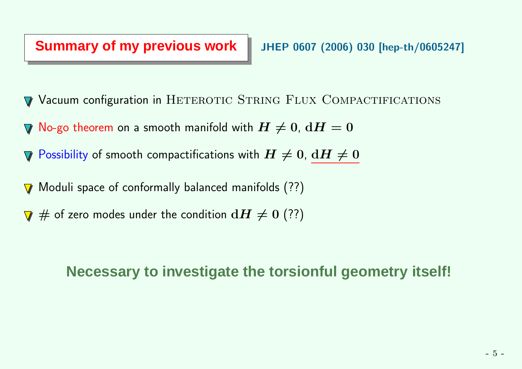#### **Summary of my previous work**

- Vacuum configuration in HETEROTIC STRING FLUX COMPACTIFICATIONS
- No-go theorem on a smooth manifold with  $H\neq 0$ ,  $\mathrm{d} H=0$
- Possibility of smooth compactifications with  $H\neq0$ ,  $\underline{\mathrm{d} H\neq0}$  $\boldsymbol{\nabla}$
- Moduli space of conformally balanced manifolds (??) $\overline{\mathbf{V}}$
- $\#$  of zero modes under the condition  $\mathrm{d} H \neq 0$   $(??)$

### **Necessary to investigate the torsionful geometry itself!**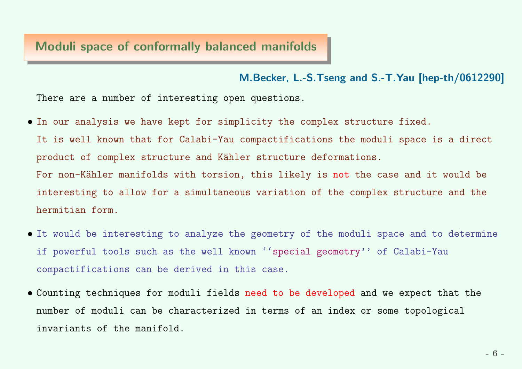#### Moduli space of conformally balanced manifolds

M.Becker, L.-S.Tseng and S.-T.Yau [hep-th/0612290]

There are <sup>a</sup> number of interesting open questions.

• In our analysis we have kept for simplicity the complex structure fixed.It is well known that for Calabi-Yau compactifications the moduli space is <sup>a</sup> directproduct of complex structure and Kähler structure deformations. For non-Kähler manifolds with torsion, this likely is <mark>not</mark> the case and it would be

interesting to allow for <sup>a</sup> simultaneous variation of the complex structure and thehermitian form.

- It would be interesting to analyze the geometry of the moduli space and to determine if powerful tools such as the well known ''special geometry'' of Calabi-Yaucompactifications can be derived in this case.
- Counting techniques for moduli fields need to be developed and we expec<sup>t</sup> that the number of moduli can be characterized in terms of an index or some topologicalinvariants of the manifold.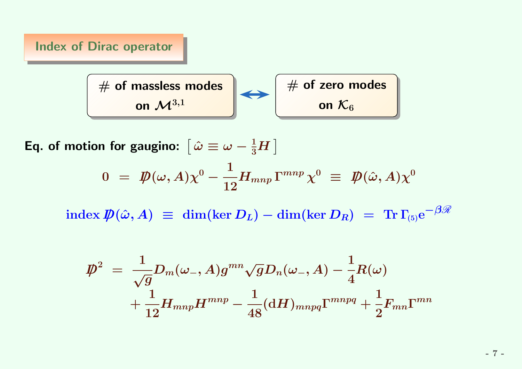

Eq. of motion for gaugino:  $\left[\, \hat{\omega} \equiv \omega - \frac{1}{3}H \,\right]$ 

$$
0 = \not{D}(\omega, A) \chi^0 - \frac{1}{12} H_{mnp} \Gamma^{mnp} \chi^0 \equiv \not{D}(\hat{\omega}, A) \chi^0
$$

 $\text{index } \not\!\!D(\hat{\omega}, A) \ \equiv \ \dim(\ker D_L) - \dim(\ker D_R) \ = \ \text{Tr} \, \Gamma_{(5)} \mathrm{e}^{-\beta \mathscr{R}}$ 

$$
\begin{aligned} \displaystyle \not{\hspace{-.1cm}D}^{2}\;=\;\frac{1}{\sqrt{g}} D_{m}(\omega_{-},A)g^{mn}\sqrt{g}D_{n}(\omega_{-},A)-\frac{1}{4}R(\omega) \\ \displaystyle +\frac{1}{12}H_{mnp}H^{mnp}-\frac{1}{48}(\mathrm{d}H)_{mnpq}\Gamma^{mnpq}+\frac{1}{2}F_{mn}\Gamma^{mn}\end{aligned}
$$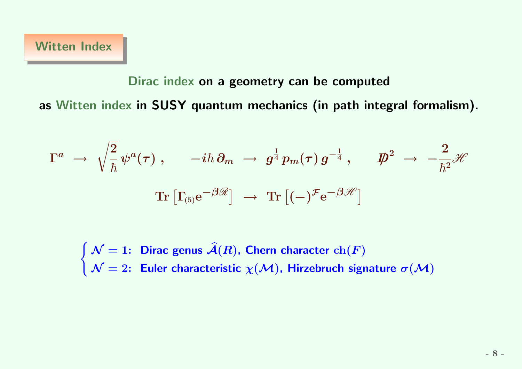# Dirac index on <sup>a</sup> geometry can be computedas Witten index in SUSY quantum mechanics (in path integral formalism).

$$
\Gamma^a \ \rightarrow \ \sqrt{\frac{2}{\hbar}} \, \psi^a(\tau) \ , \qquad -i \hbar \, \partial_m \ \rightarrow \ g^{\frac{1}{4}} \, p_m(\tau) \, g^{-\frac{1}{4}} \ , \qquad \not\!\!D^2 \ \rightarrow \ - \frac{2}{\hbar^2} \mathscr{H}
$$
\n
$$
\mathrm{Tr} \left[ \Gamma_{(5)} \mathrm{e}^{-\beta \mathscr{R}} \right] \ \rightarrow \ \mathrm{Tr} \left[ (-)^{\mathcal{F}} \mathrm{e}^{-\beta \mathscr{H}} \right]
$$

 $\begin{cases} \mathcal{N}=1: \end{cases}$  Dirac genus  $\widehat{\mathcal{A}}(R)$ , Chern character  $\mathrm{ch}(F)$ <br>  $\mathcal{N}=2:$  Euler characteristic  $\chi(\mathcal{M})$ , Hirzebruch sign  $\mathcal{N}= 2$ : Euler characteristic  $\chi(\mathcal{M})$ , Hirzebruch signature  $\sigma(\mathcal{M})$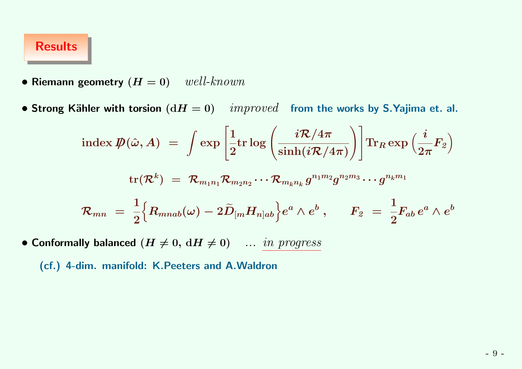#### Results

• Riemann geometry  $(H = 0)$  well-known

 $\bullet$  Strong Kähler with torsion  $({\rm d}H = 0)$  and  $improved$  from the works by S.Yajima et. al.

$$
\begin{array}{cl} \text{index}\ {\displaystyle}\displaystyle{\not}D(\hat{\omega},A)\ =\ \int \exp\left[\displaystyle{\frac{1}{2}}\text{tr}\log\left(\frac{i\mathcal{R}/4\pi}{\sinh(i\mathcal{R}/4\pi)}\right)\right]\text{Tr}_R\exp\left(\displaystyle{\frac{i}{2\pi}}F_2\right)\\ \text{tr}(\mathcal{R}^k)\ =\ \mathcal{R}_{m_1n_1}\mathcal{R}_{m_2n_2}\cdots\mathcal{R}_{m_kn_k}g^{n_1m_2}g^{n_2m_3}\cdots g^{n_km_1}\\ \mathcal{R}_{mn}\ =\ \displaystyle{\frac{1}{2}}\Big\{R_{mnab}(\omega)-2\widetilde{D}_{[m}H_{n]ab}\Big\}e^a\wedge e^b\ ,\hspace{0.5cm}F_2\ =\ \displaystyle{\frac{1}{2}}F_{ab}\,e^a\wedge e^b\ \end{array}
$$

• Conformally balanced  $(H \neq 0, dH \neq 0)$  ... in progress

(cf.) 4-dim. manifold: K.Peeters and A.Waldron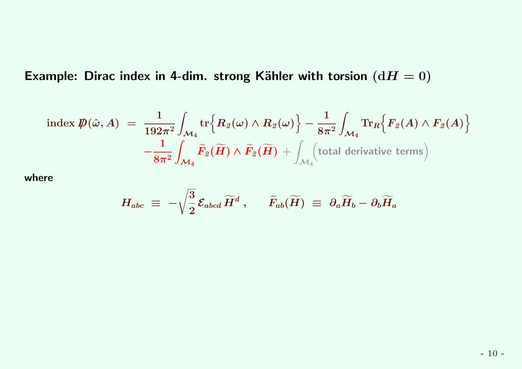Example: Dirac index in 4-dim. strong Kähler with torsion  $(\mathrm{d}H=0)$ 

$$
\text{index } \not \!\! D(\hat{\omega}, A) \; = \; \frac{1}{192\pi^2} \int_{\mathcal{M}_4} \text{tr} \Big\{ R_2(\omega) \wedge R_2(\omega) \Big\} - \frac{1}{8\pi^2} \int_{\mathcal{M}_4} \text{Tr}_R \Big\{ F_2(A) \wedge F_2(A) \Big\} \\ - \frac{1}{8\pi^2} \int_{\mathcal{M}_4} \widetilde{F}_2(\widetilde{H}) \wedge \widetilde{F}_2(\widetilde{H}) + \int_{\mathcal{M}_4} \Big( \text{total derivative terms} \Big)
$$

where

$$
H_{abc} \; \equiv \; - \sqrt{\frac{3}{2}} \, {\cal E}_{abcd} \, {\widetilde H}^d \; , \qquad {\widetilde F}_{ab} ({\widetilde H}) \; \equiv \; \partial_a {\widetilde H}_b - \partial_b {\widetilde H}_a
$$